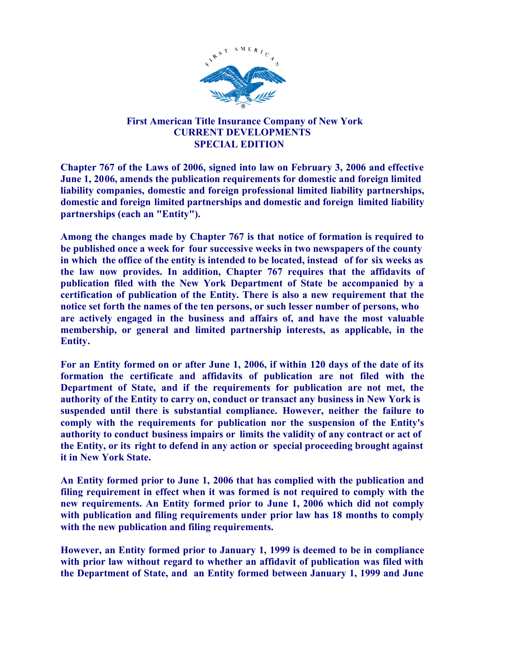

## First American Title Insurance Company of New York CURRENT DEVELOPMENTS SPECIAL EDITION

Chapter 767 of the Laws of 2006, signed into law on February 3, 2006 and effective June 1, 2006, amends the publication requirements for domestic and foreign limited liability companies, domestic and foreign professional limited liability partnerships, domestic and foreign limited partnerships and domestic and foreign limited liability partnerships (each an "Entity").

Among the changes made by Chapter 767 is that notice of formation is required to be published once a week for four successive weeks in two newspapers of the county in which the office of the entity is intended to be located, instead of for six weeks as the law now provides. In addition, Chapter 767 requires that the affidavits of publication filed with the New York Department of State be accompanied by a certification of publication of the Entity. There is also a new requirement that the notice set forth the names of the ten persons, or such lesser number of persons, who are actively engaged in the business and affairs of, and have the most valuable membership, or general and limited partnership interests, as applicable, in the Entity.

For an Entity formed on or after June 1, 2006, if within 120 days of the date of its formation the certificate and affidavits of publication are not filed with the Department of State, and if the requirements for publication are not met, the authority of the Entity to carry on, conduct or transact any business in New York is suspended until there is substantial compliance. However, neither the failure to comply with the requirements for publication nor the suspension of the Entity's authority to conduct business impairs or limits the validity of any contract or act of the Entity, or its right to defend in any action or special proceeding brought against it in New York State.

An Entity formed prior to June 1, 2006 that has complied with the publication and filing requirement in effect when it was formed is not required to comply with the new requirements. An Entity formed prior to June 1, 2006 which did not comply with publication and filing requirements under prior law has 18 months to comply with the new publication and filing requirements.

However, an Entity formed prior to January 1, 1999 is deemed to be in compliance with prior law without regard to whether an affidavit of publication was filed with the Department of State, and an Entity formed between January 1, 1999 and June